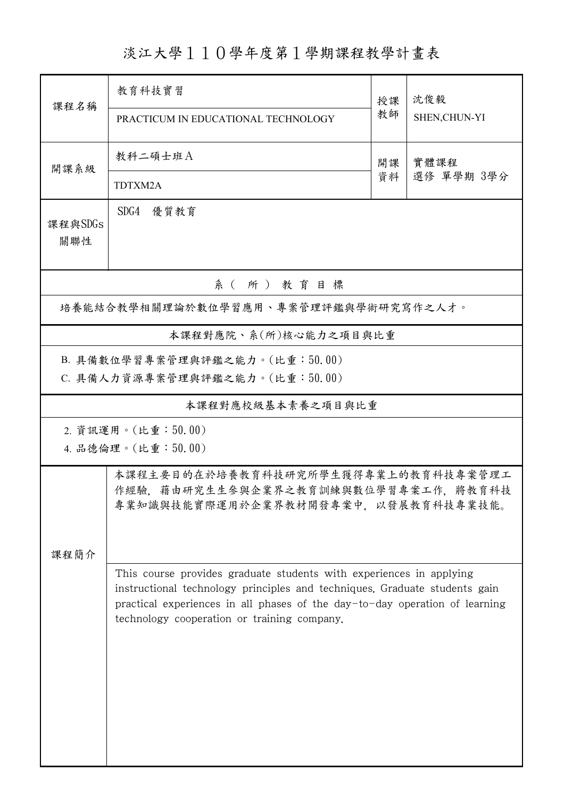淡江大學110學年度第1學期課程教學計畫表

|                                      | 教育科技實習                                                                                                                     |      |               |  |  |  |  |  |
|--------------------------------------|----------------------------------------------------------------------------------------------------------------------------|------|---------------|--|--|--|--|--|
| 課程名稱                                 |                                                                                                                            | 授課   | 沈俊毅           |  |  |  |  |  |
|                                      | PRACTICUM IN EDUCATIONAL TECHNOLOGY                                                                                        | 教師   | SHEN, CHUN-YI |  |  |  |  |  |
| 開課系級                                 | 教科二碩士班A                                                                                                                    | 實體課程 |               |  |  |  |  |  |
|                                      | TDTXM2A                                                                                                                    | 資料   | 選修 單學期 3學分    |  |  |  |  |  |
| 課程與SDGs                              | SDG4 優質教育                                                                                                                  |      |               |  |  |  |  |  |
| 關聯性                                  |                                                                                                                            |      |               |  |  |  |  |  |
| 系(所)教育目標                             |                                                                                                                            |      |               |  |  |  |  |  |
| 培養能結合教學相關理論於數位學習應用、專案管理評鑑與學術研究寫作之人才。 |                                                                                                                            |      |               |  |  |  |  |  |
|                                      | 本課程對應院、系(所)核心能力之項目與比重                                                                                                      |      |               |  |  |  |  |  |
|                                      | B. 具備數位學習專案管理與評鑑之能力。(比重:50.00)                                                                                             |      |               |  |  |  |  |  |
|                                      | C. 具備人力資源專案管理與評鑑之能力。(比重:50.00)                                                                                             |      |               |  |  |  |  |  |
|                                      | 本課程對應校級基本素養之項目與比重                                                                                                          |      |               |  |  |  |  |  |
|                                      | 2. 資訊運用。(比重:50.00)                                                                                                         |      |               |  |  |  |  |  |
|                                      | 4. 品德倫理。(比重:50.00)                                                                                                         |      |               |  |  |  |  |  |
|                                      | 本課程主要目的在於培養教育科技研究所學生獲得專業上的教育科技專案管理工                                                                                        |      |               |  |  |  |  |  |
|                                      | 作經驗,藉由研究生生參與企業界之教育訓練與數位學習專案工作,將教育科技<br>專業知識與技能實際運用於企業界教材開發專案中,以發展教育科技專業技能。                                                 |      |               |  |  |  |  |  |
|                                      |                                                                                                                            |      |               |  |  |  |  |  |
| 課程簡介                                 |                                                                                                                            |      |               |  |  |  |  |  |
|                                      | This course provides graduate students with experiences in applying                                                        |      |               |  |  |  |  |  |
|                                      | instructional technology principles and techniques. Graduate students gain                                                 |      |               |  |  |  |  |  |
|                                      | practical experiences in all phases of the day-to-day operation of learning<br>technology cooperation or training company. |      |               |  |  |  |  |  |
|                                      |                                                                                                                            |      |               |  |  |  |  |  |
|                                      |                                                                                                                            |      |               |  |  |  |  |  |
|                                      |                                                                                                                            |      |               |  |  |  |  |  |
|                                      |                                                                                                                            |      |               |  |  |  |  |  |
|                                      |                                                                                                                            |      |               |  |  |  |  |  |
|                                      |                                                                                                                            |      |               |  |  |  |  |  |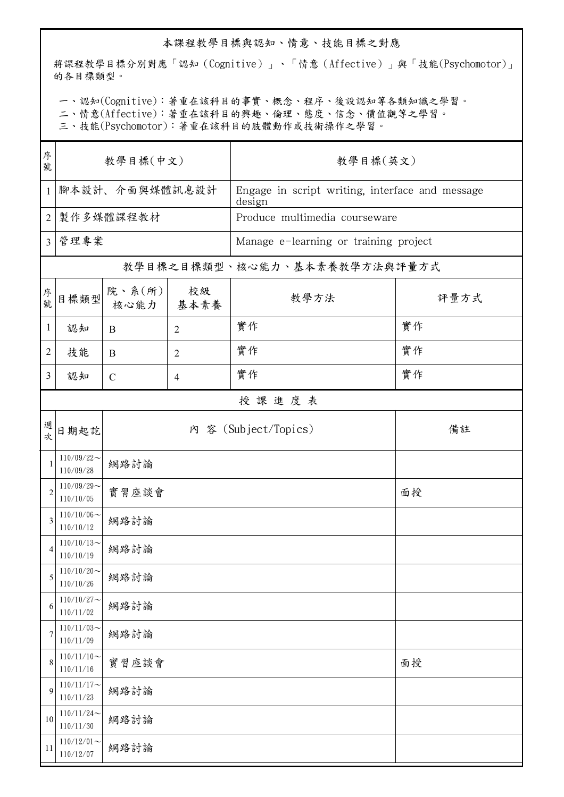## 本課程教學目標與認知、情意、技能目標之對應

將課程教學目標分別對應「認知(Cognitive)」、「情意(Affective)」與「技能(Psychomotor)」 的各目標類型。

一、認知(Cognitive):著重在該科目的事實、概念、程序、後設認知等各類知識之學習。

二、情意(Affective):著重在該科目的興趣、倫理、態度、信念、價值觀等之學習。

三、技能(Psychomotor):著重在該科目的肢體動作或技術操作之學習。

| 序<br>號         | 教學目標(中文)                      |                        |                | 教學目標(英文)                                                  |      |  |  |
|----------------|-------------------------------|------------------------|----------------|-----------------------------------------------------------|------|--|--|
| $\mathbf{1}$   | 腳本設計、介面與媒體訊息設計                |                        |                | Engage in script writing, interface and message<br>design |      |  |  |
| $\overline{2}$ | 製作多媒體課程教材                     |                        |                | Produce multimedia courseware                             |      |  |  |
| $\overline{3}$ | 管理專案                          |                        |                | Manage e-learning or training project                     |      |  |  |
|                |                               |                        |                | 教學目標之目標類型、核心能力、基本素養教學方法與評量方式                              |      |  |  |
| 序號             | 目標類型                          | 院、系 $(\kappa)$<br>核心能力 | 校級<br>基本素養     | 教學方法                                                      | 評量方式 |  |  |
| $\mathbf{1}$   | 認知                            | B                      | $\overline{2}$ | 實作                                                        | 實作   |  |  |
| $\overline{2}$ | 技能                            | B                      | $\overline{2}$ | 實作                                                        | 實作   |  |  |
| $\overline{3}$ | 認知                            | $\mathcal{C}$          | $\overline{4}$ | 實作                                                        | 實作   |  |  |
|                | 授課進度表                         |                        |                |                                                           |      |  |  |
| 週次             | 日期起訖                          |                        |                | 內 容 (Subject/Topics)                                      | 備註   |  |  |
| $\mathbf{1}$   | $110/09/22$ ~<br>110/09/28    | 網路討論                   |                |                                                           |      |  |  |
| $\overline{2}$ | $110/09/29$ ~<br>110/10/05    | 實習座談會                  |                |                                                           | 面授   |  |  |
| 3              | $110/10/06 \sim$<br>110/10/12 | 網路討論                   |                |                                                           |      |  |  |
| 4              | $110/10/13$ ~<br>110/10/19    | 網路討論                   |                |                                                           |      |  |  |
| 5              | $110/10/20$ ~<br>110/10/26    | 網路討論                   |                |                                                           |      |  |  |
| 6              | $110/10/27$ ~<br>110/11/02    | 網路討論                   |                |                                                           |      |  |  |
| 7              | $110/11/03$ ~<br>110/11/09    | 網路討論                   |                |                                                           |      |  |  |
| 8              | $110/11/10$ ~<br>110/11/16    | 實習座談會                  |                |                                                           | 面授   |  |  |
| 9              | $110/11/17$ ~<br>110/11/23    | 網路討論                   |                |                                                           |      |  |  |
| 10             | $110/11/24$ ~<br>110/11/30    | 網路討論                   |                |                                                           |      |  |  |
| 11             | $110/12/01$ ~<br>110/12/07    | 網路討論                   |                |                                                           |      |  |  |